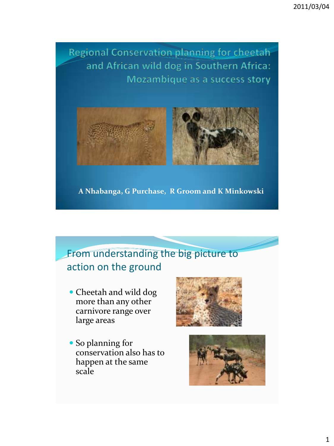Regional Conservation planning for cheetah and African wild dog in Southern Africa: Mozambique as a success story



**A Nhabanga, G Purchase, R Groom and K Minkowski**

#### From understanding the big picture to action on the ground

- Cheetah and wild dog more than any other carnivore range over large areas
- So planning for conservation also has to happen at the same scale



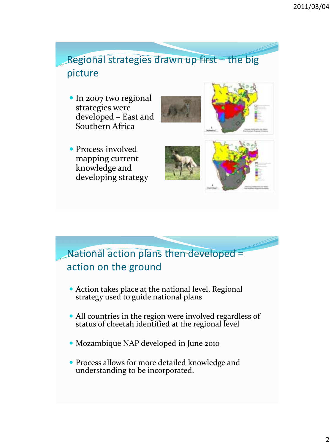Regional strategies drawn up first – the big picture

• In 2007 two regional strategies were developed – East and Southern Africa





• Process involved mapping current knowledge and developing strategy



#### National action plans then developed = action on the ground

- Action takes place at the national level. Regional strategy used to guide national plans
- All countries in the region were involved regardless of status of cheetah identified at the regional level
- Mozambique NAP developed in June 2010
- Process allows for more detailed knowledge and understanding to be incorporated.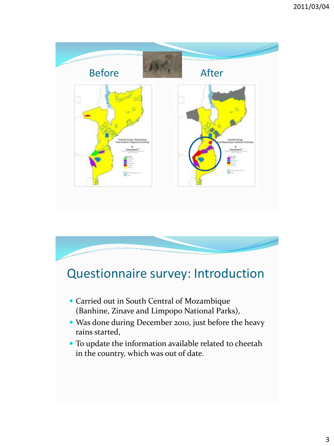



## Questionnaire survey: Introduction

- Carried out in South Central of Mozambique (Banhine, Zinave and Limpopo National Parks),
- Was done during December 2010, just before the heavy rains started,
- To update the information available related to cheetah in the country, which was out of date.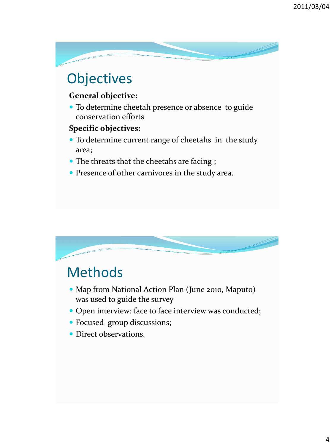# **Objectives**

#### **General objective:**

 To determine cheetah presence or absence to guide conservation efforts

#### **Specific objectives:**

- To determine current range of cheetahs in the study area;
- The threats that the cheetahs are facing ;
- Presence of other carnivores in the study area.



# Methods

- Map from National Action Plan (June 2010, Maputo) was used to guide the survey
- Open interview: face to face interview was conducted;
- Focused group discussions;
- Direct observations.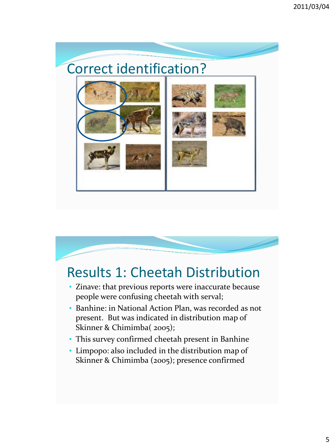# Correct identification?





# Results 1: Cheetah Distribution

- Zinave: that previous reports were inaccurate because people were confusing cheetah with serval;
- Banhine: in National Action Plan, was recorded as not present. But was indicated in distribution map of Skinner & Chimimba( 2005);
- This survey confirmed cheetah present in Banhine
- Limpopo: also included in the distribution map of Skinner & Chimimba (2005); presence confirmed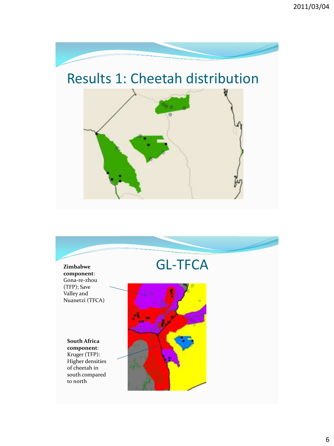

# Results 1: Cheetah distribution



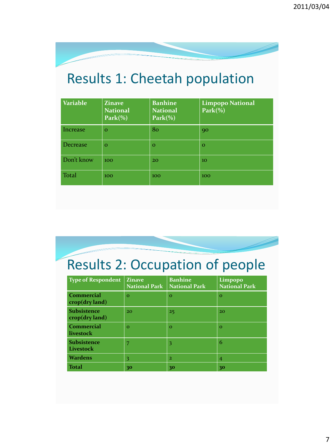

# Results 1: Cheetah population

| <b>Variable</b> | <b>Zinave</b><br><b>National</b><br>$Park(\%)$ | <b>Banhine</b><br><b>National</b><br>$Park(\%)$ | <b>Limpopo National</b><br>$Park(\%)$ |
|-----------------|------------------------------------------------|-------------------------------------------------|---------------------------------------|
| Increase        | $\Omega$                                       | 80                                              | 90                                    |
| Decrease        | $\Omega$                                       | $\Omega$                                        | $\Omega$                              |
| Don't know      | 100                                            | 20                                              | 10                                    |
| <b>Total</b>    | 100                                            | 100                                             | 100                                   |

Results 2: Occupation of people

| <b>Type of Respondent</b>                                            | <b>Zinave</b><br><b>National Park</b> | <b>Banhine</b><br><b>National Park</b> | Limpopo<br><b>National Park</b> |
|----------------------------------------------------------------------|---------------------------------------|----------------------------------------|---------------------------------|
| <b>Commercial</b><br>$\operatorname{crop}(\operatorname{dry}$ land)  | $\Omega$                              | $\Omega$                               | $\Omega$                        |
| <b>Subsistence</b><br>$\operatorname{crop}(\operatorname{dry}$ land) | 20                                    | 25                                     | 20                              |
| <b>Commercial</b><br>livestock                                       | $\Omega$                              | $\Omega$                               | $\mathbf{o}$                    |
| <b>Subsistence</b><br>Livestock                                      | 7                                     | 3                                      | 6                               |
| Wardens                                                              | 3                                     | $\overline{2}$                         | $\overline{4}$                  |
| Total                                                                | 30                                    | 30                                     | 30                              |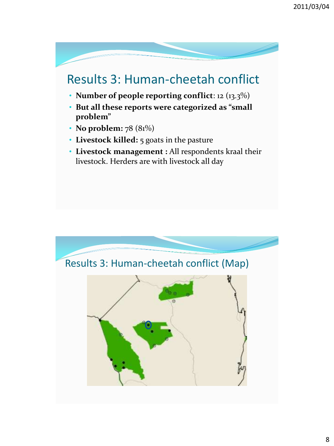## Results 3: Human-cheetah conflict

- **Number of people reporting conflict**: 12 (13.3%)
- **But all these reports were categorized as "small problem"**
- **No problem:** 78 (81%)
- **Livestock killed:** 5 goats in the pasture
- **Livestock management :** All respondents kraal their livestock. Herders are with livestock all day

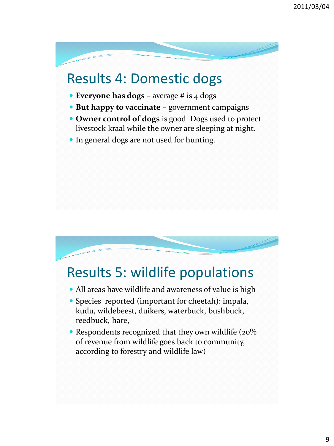# Results 4: Domestic dogs

- **Everyone has dogs –** average # is 4 dogs
- **But happy to vaccinate –** government campaigns
- **Owner control of dogs** is good. Dogs used to protect livestock kraal while the owner are sleeping at night.
- In general dogs are not used for hunting.



# Results 5: wildlife populations

- All areas have wildlife and awareness of value is high
- Species reported (important for cheetah): impala, kudu, wildebeest, duikers, waterbuck, bushbuck, reedbuck, hare,
- Respondents recognized that they own wildlife (20%) of revenue from wildlife goes back to community, according to forestry and wildlife law)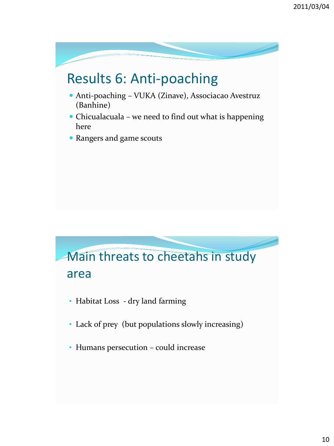# Results 6: Anti-poaching

- Anti-poaching VUKA (Zinave), Associacao Avestruz (Banhine)
- Chicualacuala we need to find out what is happening here
- Rangers and game scouts



- Habitat Loss dry land farming
- Lack of prey (but populations slowly increasing)
- Humans persecution could increase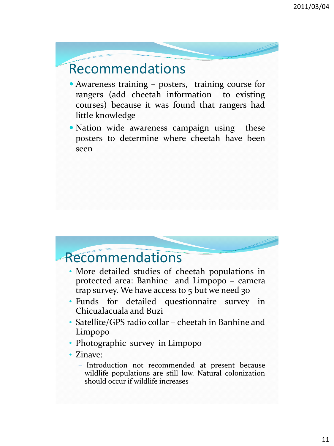## Recommendations

- Awareness training posters, training course for rangers (add cheetah information to existing courses) because it was found that rangers had little knowledge
- Nation wide awareness campaign using these posters to determine where cheetah have been seen

#### Recommendations

- More detailed studies of cheetah populations in protected area: Banhine and Limpopo – camera trap survey. We have access to 5 but we need 30
- Funds for detailed questionnaire survey in Chicualacuala and Buzi
- Satellite/GPS radio collar cheetah in Banhine and Limpopo
- Photographic survey in Limpopo
- Zinave:
	- Introduction not recommended at present because wildlife populations are still low. Natural colonization should occur if wildlife increases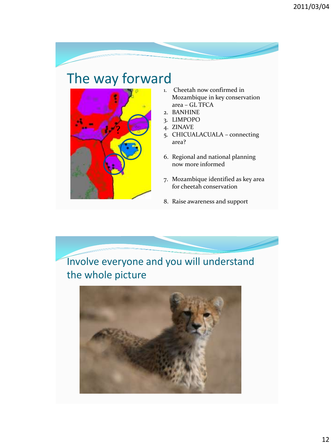## The way forward



- 1. Cheetah now confirmed in Mozambique in key conservation area – GL TFCA
- 2. BANHINE
- 3. LIMPOPO
- 4. ZINAVE
- 5. CHICUALACUALA connecting area?
- 6. Regional and national planning now more informed
- 7. Mozambique identified as key area for cheetah conservation
- 8. Raise awareness and support